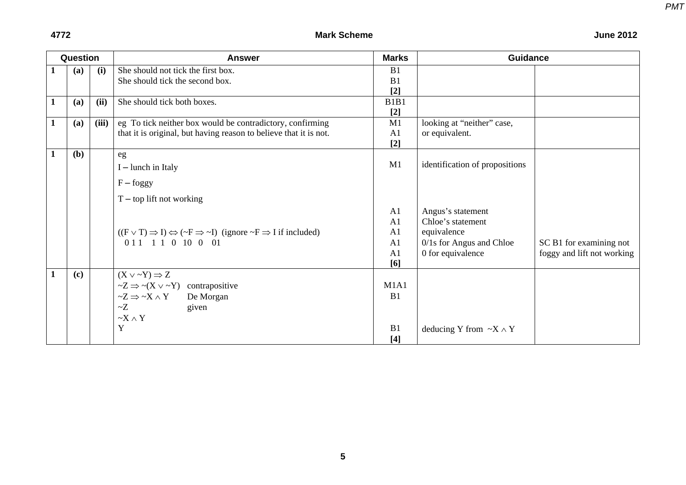| Question |     |       | <b>Answer</b>                                                                                                        | <b>Marks</b>   | <b>Guidance</b>                     |                            |  |  |
|----------|-----|-------|----------------------------------------------------------------------------------------------------------------------|----------------|-------------------------------------|----------------------------|--|--|
| 1        | (a) | (i)   | She should not tick the first box.                                                                                   | B1             |                                     |                            |  |  |
|          |     |       | She should tick the second box.                                                                                      | B1             |                                     |                            |  |  |
|          |     |       |                                                                                                                      | $[2]$          |                                     |                            |  |  |
|          | (a) | (ii)  | She should tick both boxes.                                                                                          | B1B1           |                                     |                            |  |  |
|          |     |       |                                                                                                                      | $[2]$          |                                     |                            |  |  |
| 1        | (a) | (iii) | eg To tick neither box would be contradictory, confirming                                                            | M1             | looking at "neither" case,          |                            |  |  |
|          |     |       | that it is original, but having reason to believe that it is not.                                                    | A1             | or equivalent.                      |                            |  |  |
|          |     |       |                                                                                                                      | $[2]$          |                                     |                            |  |  |
| -1       | (b) |       | eg                                                                                                                   |                |                                     |                            |  |  |
|          |     |       | $I$ – lunch in Italy                                                                                                 | M1             | identification of propositions      |                            |  |  |
|          |     |       | $F - foggy$                                                                                                          |                |                                     |                            |  |  |
|          |     |       | $T$ – top lift not working                                                                                           |                |                                     |                            |  |  |
|          |     |       |                                                                                                                      | A <sub>1</sub> | Angus's statement                   |                            |  |  |
|          |     |       |                                                                                                                      | A <sub>1</sub> | Chloe's statement                   |                            |  |  |
|          |     |       | $((F \vee T) \Rightarrow I) \Leftrightarrow (\sim F \Rightarrow \sim I)$ (ignore $\sim F \Rightarrow I$ if included) | A <sub>1</sub> | equivalence                         |                            |  |  |
|          |     |       | $011$ 1 1 0 10 0 01                                                                                                  | A1             | 0/1s for Angus and Chloe            | SC B1 for examining not    |  |  |
|          |     |       |                                                                                                                      | A1             | 0 for equivalence                   | foggy and lift not working |  |  |
|          |     |       |                                                                                                                      | [6]            |                                     |                            |  |  |
|          | (c) |       | $(X \vee \neg Y) \Rightarrow Z$                                                                                      |                |                                     |                            |  |  |
|          |     |       | $\sim Z \Rightarrow \sim (X \vee \sim Y)$ contrapositive                                                             | M1A1           |                                     |                            |  |  |
|          |     |       | $\neg Z \Rightarrow \neg X \wedge Y$<br>De Morgan                                                                    | B1             |                                     |                            |  |  |
|          |     |       | $\sim Z$<br>given                                                                                                    |                |                                     |                            |  |  |
|          |     |       | $\sim$ X $\land$ Y                                                                                                   |                |                                     |                            |  |  |
|          |     |       | Y                                                                                                                    | B1             | deducing Y from $\sim$ X $\wedge$ Y |                            |  |  |
|          |     |       |                                                                                                                      | $[4]$          |                                     |                            |  |  |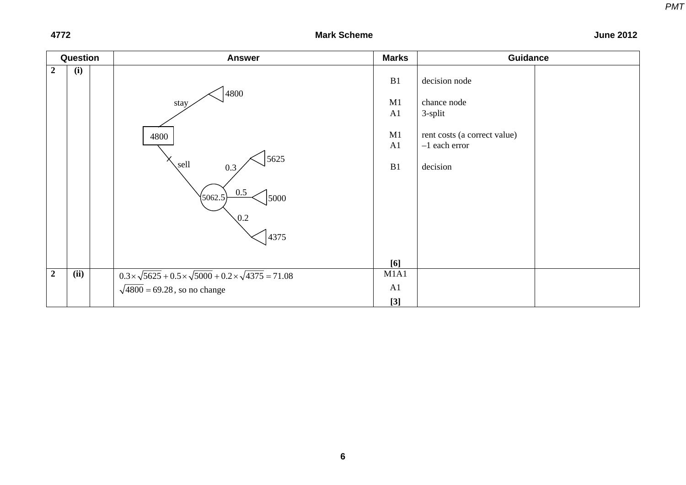| Question         |      | <b>Answer</b>                                                                      | <b>Marks</b> | <b>Guidance</b>                                 |
|------------------|------|------------------------------------------------------------------------------------|--------------|-------------------------------------------------|
| $\boldsymbol{2}$ | (i)  | 4800                                                                               | B1           | decision node                                   |
|                  |      | stay                                                                               | M1<br>A1     | chance node<br>3-split                          |
|                  |      | 4800                                                                               | M1<br>A1     | rent costs (a correct value)<br>$-1$ each error |
|                  |      | 5625<br>sell<br>0.3<br>$0.5\,$                                                     | B1           | decision                                        |
|                  |      | (5062.5)<br>$\vert$ 5000<br>$\sqrt{0.2}$                                           |              |                                                 |
|                  |      | 4375                                                                               | [6]          |                                                 |
| $\overline{2}$   | (ii) | $0.3 \times \sqrt{5625} + 0.5 \times \sqrt{5000} + 0.2 \times \sqrt{4375} = 71.08$ | M1A1         |                                                 |
|                  |      | $\sqrt{4800}$ = 69.28, so no change                                                | A1           |                                                 |
|                  |      |                                                                                    | $[3]$        |                                                 |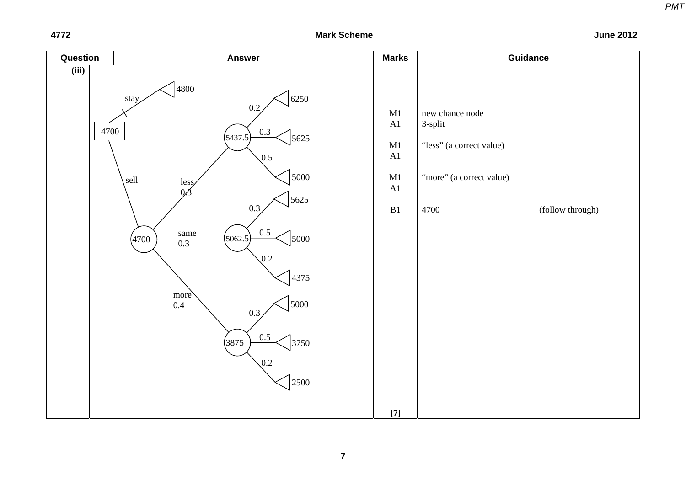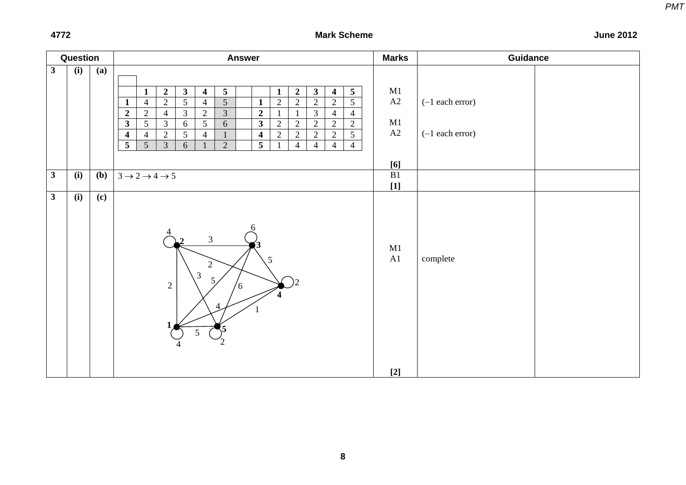| $\mathbf{3}$<br>(i)<br>(a)<br>$5\phantom{.0}$<br>$\boldsymbol{2}$<br>3 <sup>1</sup><br>$\overline{\mathbf{4}}$<br>$\mathbf{1}$                                                                                                                                                                                                                                                                                                                                                                                                                                                                   | $\mathbf{3}$<br>5 <sup>5</sup><br>$\overline{2}$<br>$\overline{\mathbf{4}}$<br>$\mathbf{1}$<br>$\overline{5}$<br>$\overline{2}$<br>$\overline{2}$<br>$\overline{2}$<br>$\overline{2}$<br>$\overline{3}$<br>$\overline{4}$<br>$\overline{4}$                | M1<br>A2            |                                        |
|--------------------------------------------------------------------------------------------------------------------------------------------------------------------------------------------------------------------------------------------------------------------------------------------------------------------------------------------------------------------------------------------------------------------------------------------------------------------------------------------------------------------------------------------------------------------------------------------------|------------------------------------------------------------------------------------------------------------------------------------------------------------------------------------------------------------------------------------------------------------|---------------------|----------------------------------------|
| $\overline{5}$<br>$\overline{5}$<br>$\overline{2}$<br>$\overline{4}$<br>$\overline{4}$<br>$\mathbf{1}$<br>$\mathbf{1}$<br>$\overline{3}$<br>$\boldsymbol{2}$<br>$\boldsymbol{2}$<br>$\overline{2}$<br>$\overline{3}$<br>$\overline{2}$<br>$\overline{4}$<br>$\mathbf{3}$<br>$5\overline{)}$<br>$\mathfrak{Z}$<br>$5\overline{)}$<br>$\mathbf{3}$<br>6<br>6<br>$\overline{2}$<br>$\overline{5}$<br>$\overline{\mathbf{4}}$<br>$\overline{4}$<br>$\overline{\mathbf{4}}$<br>$\overline{4}$<br>$\overline{5}$<br>$\overline{3}$<br>$\overline{\mathbf{5}}$<br>$\overline{5}$<br>$\overline{2}$<br>6 | $\overline{2}$<br>$\boldsymbol{2}$<br>$\overline{2}$<br>$\overline{2}$<br>$\overline{2}$<br>$\overline{2}$<br>$\overline{5}$<br>$\overline{2}$<br>$\overline{2}$<br>$\overline{2}$<br>$\overline{4}$<br>$\overline{4}$<br>$\overline{4}$<br>$\overline{4}$ | $\mathbf{M}1$<br>A2 | $(-1$ each error)<br>$(-1$ each error) |
| $\overline{(\mathbf{i})}$<br>$\mathbf{3}$<br>(b)<br>$3 \rightarrow 2 \rightarrow 4 \rightarrow 5$                                                                                                                                                                                                                                                                                                                                                                                                                                                                                                |                                                                                                                                                                                                                                                            | [6]<br>B1           |                                        |
|                                                                                                                                                                                                                                                                                                                                                                                                                                                                                                                                                                                                  |                                                                                                                                                                                                                                                            | $[1]$               |                                        |
| $\overline{(\mathbf{i})}$<br>$\mathbf{3}$<br>(c)<br>$\overline{3}$<br>5<br>$\overline{2}$<br>$\mathfrak{Z}$<br>5.<br>$\overline{2}$<br>$\sqrt{6}$<br>5 <sup>5</sup><br>$\mathcal{L}_{2}$                                                                                                                                                                                                                                                                                                                                                                                                         |                                                                                                                                                                                                                                                            | M1<br>A1<br>$[2]$   | complete                               |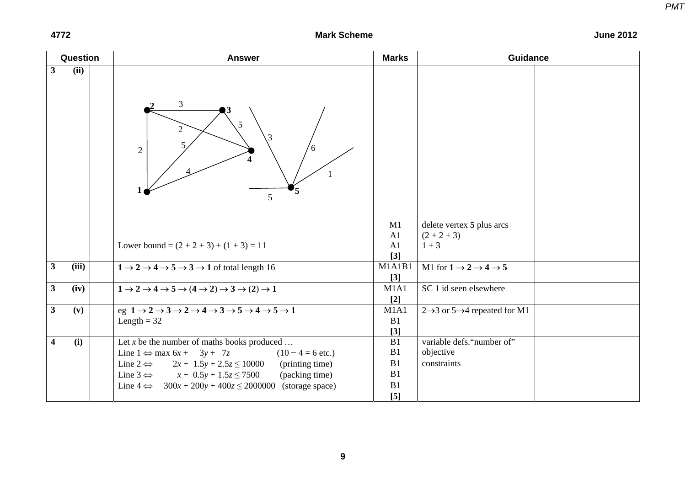#### Question **Research Answer Marks Marks (Internative Answer** Marks ) Marks (Internative Marks Guidance **3 (ii)**  M1 delete vertex **5** plus arcs A1  $(2 + 2 + 3)$ 2 2 3 5 6 5 1 **5 4**  $\frac{2}{3}$   $\frac{3}{3}$   $\frac{3}{2}$ **1** 3 5 4 Lower bound =  $(2 + 2 + 3) + (1 + 3) = 11$  A1  $1 + 3$ **[3] 3** (iii)  $1 \rightarrow 2 \rightarrow 4 \rightarrow 5 \rightarrow 3 \rightarrow 1$  of total length 16 M1A1B1 M1 for  $1 \rightarrow 2 \rightarrow 4 \rightarrow 5$ **[3] 3** (iv)  $1 \rightarrow 2 \rightarrow 4 \rightarrow 5 \rightarrow (4 \rightarrow 2) \rightarrow 3 \rightarrow (2) \rightarrow 1$  M1A1 SC 1 id seen elsewhere **[2] 3** (v)  $e$  eg  $1 \rightarrow 2 \rightarrow 3 \rightarrow 2 \rightarrow 4 \rightarrow 3 \rightarrow 5 \rightarrow 4 \rightarrow 5 \rightarrow 1$  M1A1 2 $\rightarrow$ 3 or 5 $\rightarrow$ 4 repeated for M1 Length  $= 32$  B1 **[3] 4** (i) Let *x* be the number of maths books produced ... B1 variable defs. "number of" Line  $1$  ⇔ max  $6x + 3y + 7z$  (10 − 4 = 6 etc.) B1 objective Line  $2 \Leftrightarrow 2x + 1.5y + 2.5z \le 10000$  (printing time) B1 constraints Line  $3 \Leftrightarrow$  $x + 0.5y + 1.5z \le 7500$  (packing time) B1 Line  $4 \Leftrightarrow 300x + 200y + 400z \le 2000000$  (storage space) B1 **[5]**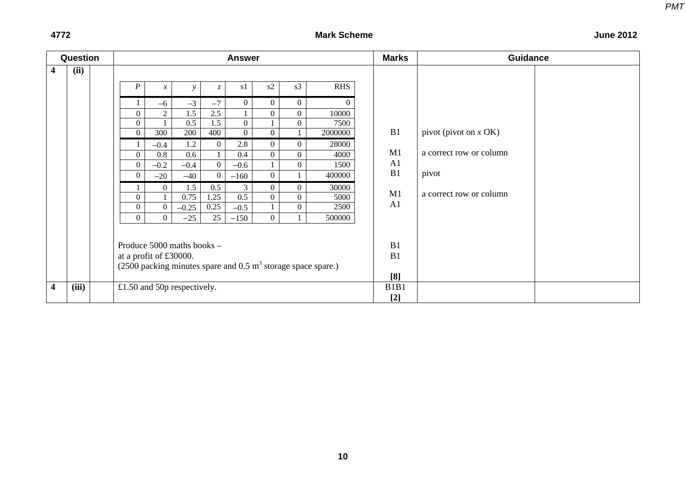| Question                |       |  |                                                                             |                     | <b>Answer</b>   |                |                |                | <b>Marks</b> | <b>Guidance</b> |                         |
|-------------------------|-------|--|-----------------------------------------------------------------------------|---------------------|-----------------|----------------|----------------|----------------|--------------|-----------------|-------------------------|
| 4                       | (ii)  |  |                                                                             |                     |                 |                |                |                |              |                 |                         |
|                         |       |  | $\boldsymbol{P}$                                                            | $\mathcal{X}$<br>v  | $\mathcal{Z}^-$ | s1             | s2             | s3             | <b>RHS</b>   |                 |                         |
|                         |       |  |                                                                             | $-3$<br>$-6$        | $-7$            | $\overline{0}$ | $\overline{0}$ | $\overline{0}$ | $\Omega$     |                 |                         |
|                         |       |  | $\overline{0}$                                                              | 2<br>1.5            | 2.5             |                | $\overline{0}$ | $\overline{0}$ | 10000        |                 |                         |
|                         |       |  | $\theta$                                                                    | 0.5                 | 1.5             | $\overline{0}$ |                | $\overline{0}$ | 7500         |                 |                         |
|                         |       |  | $\overline{0}$                                                              | 300<br>200          | 400             | $\overline{0}$ | $\overline{0}$ |                | 2000000      | B1              | pivot (pivot on $x$ OK) |
|                         |       |  |                                                                             | 1.2<br>$-0.4$       | $\Omega$        | 2.8            | $\Omega$       | $\Omega$       | 28000        |                 |                         |
|                         |       |  | 0                                                                           | 0.6<br>0.8          |                 | 0.4            | $\overline{0}$ | $\Omega$       | 4000         | M1              | a correct row or column |
|                         |       |  | $\Omega$                                                                    | $-0.2$<br>$-0.4$    | $\Omega$        | $-0.6$         |                | $\Omega$       | 1500         | A <sub>1</sub>  |                         |
|                         |       |  | $\Omega$                                                                    | $-20$<br>$-40$      | $\Omega$        | $-160$         | $\overline{0}$ |                | 400000       | B1              | pivot                   |
|                         |       |  |                                                                             | 1.5<br>$\Omega$     | 0.5             | 3              | $\overline{0}$ | $\overline{0}$ | 30000        |                 |                         |
|                         |       |  | $\Omega$                                                                    | 0.75                | 1.25            | 0.5            | $\overline{0}$ | $\Omega$       | 5000         | M1              | a correct row or column |
|                         |       |  | $\overline{0}$                                                              | $\Omega$<br>$-0.25$ | 0.25            | $-0.5$         |                | $\overline{0}$ | 2500         | A <sub>1</sub>  |                         |
|                         |       |  | $\theta$                                                                    | $\theta$<br>$-25$   | 25              | $-150$         | $\overline{0}$ |                | 500000       |                 |                         |
|                         |       |  |                                                                             |                     |                 |                |                |                |              |                 |                         |
|                         |       |  | Produce 5000 maths books -                                                  |                     |                 |                |                |                |              | B1              |                         |
|                         |       |  | at a profit of £30000.                                                      |                     |                 |                |                |                |              | B1              |                         |
|                         |       |  | $(2500)$ packing minutes spare and 0.5 m <sup>3</sup> storage space spare.) |                     |                 |                |                |                |              |                 |                         |
|                         |       |  |                                                                             |                     |                 |                |                |                |              | [8]             |                         |
| $\overline{\mathbf{4}}$ | (iii) |  | £1.50 and 50 $p$ respectively.                                              |                     |                 |                |                |                |              | B1B1            |                         |
|                         |       |  |                                                                             |                     |                 |                |                |                |              | $[2]$           |                         |